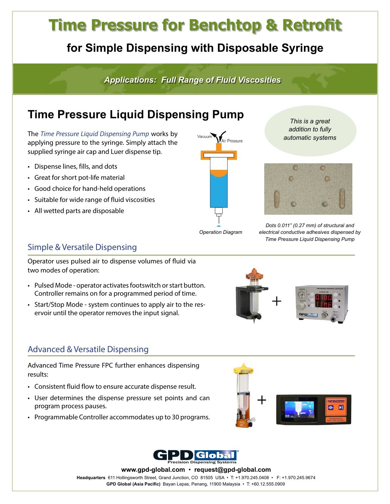# **Time Pressure for Benchtop & Retrofit**

### **for Simple Dispensing with Disposable Syringe**

*Applications: Full Range of Fluid Viscosities*

## **Time Pressure Liquid Dispensing Pump**

The *[Time Pressure Liquid Dispensing Pump](https://www.gpd-global.com/co_website/fluiddispense-valvestools-timepressure.php)* works by applying pressure to the syringe. Simply attach the supplied syringe air cap and Luer dispense tip.

- Dispense lines, fills, and dots
- Great for short pot-life material
- Good choice for hand-held operations
- Suitable for wide range of fluid viscosities
- All wetted parts are disposable

Vacuum ,<br>Air Pressure

*This is a great addition to fully automatic systems*



*Dots 0.011" (0.27 mm) of structural and electrical conductive adhesives dispensed by Time Pressure Liquid Dispensing Pump*

*Operation Diagram*

#### Simple & Versatile Dispensing

Operator uses pulsed air to dispense volumes of fluid via two modes of operation:

- Pulsed Mode operator activates footswitch or start button. Controller remains on for a programmed period of time.
- Start/Stop Mode system continues to apply air to the reservoir until the operator removes the input signal.

#### Advanced & Versatile Dispensing

Advanced Time Pressure FPC further enhances dispensing results:

- Consistent fluid flow to ensure accurate dispense result.
- User determines the dispense pressure set points and can program process pauses.
- Programmable Controller accommodates up to 30 programs.





**Headquarters** 611 Hollingsworth Street, Grand Junction, CO 81505 USA • T: +1.970.245.0408 • F: +1.970.245.9674 **www.gpd-global.com** • **request@gpd-global.com GPD Global (Asia Pacific)** Bayan Lepas, Penang, 11900 Malaysia • T: +60.12.555.0909